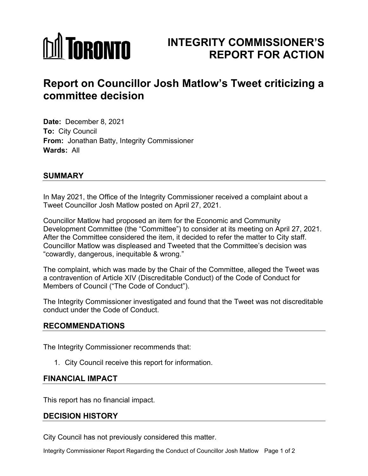# **MITORONTO**

# **INTEGRITY COMMISSIONER'S REPORT FOR ACTION**

# **Report on Councillor Josh Matlow's Tweet criticizing a committee decision**

**Date:** December 8, 2021 **To:** City Council **From:** Jonathan Batty, Integrity Commissioner **Wards:** All

# **SUMMARY**

In May 2021, the Office of the Integrity Commissioner received a complaint about a Tweet Councillor Josh Matlow posted on April 27, 2021.

Councillor Matlow had proposed an item for the Economic and Community Development Committee (the "Committee") to consider at its meeting on April 27, 2021. After the Committee considered the item, it decided to refer the matter to City staff. Councillor Matlow was displeased and Tweeted that the Committee's decision was "cowardly, dangerous, inequitable & wrong."

The complaint, which was made by the Chair of the Committee, alleged the Tweet was a contravention of Article XIV (Discreditable Conduct) of the Code of Conduct for Members of Council ("The Code of Conduct").

The Integrity Commissioner investigated and found that the Tweet was not discreditable conduct under the Code of Conduct.

# **RECOMMENDATIONS**

The Integrity Commissioner recommends that:

1. City Council receive this report for information.

# **FINANCIAL IMPACT**

This report has no financial impact.

# **DECISION HISTORY**

City Council has not previously considered this matter.

Integrity Commissioner Report Regarding the Conduct of Councillor Josh Matlow Page 1 of 2